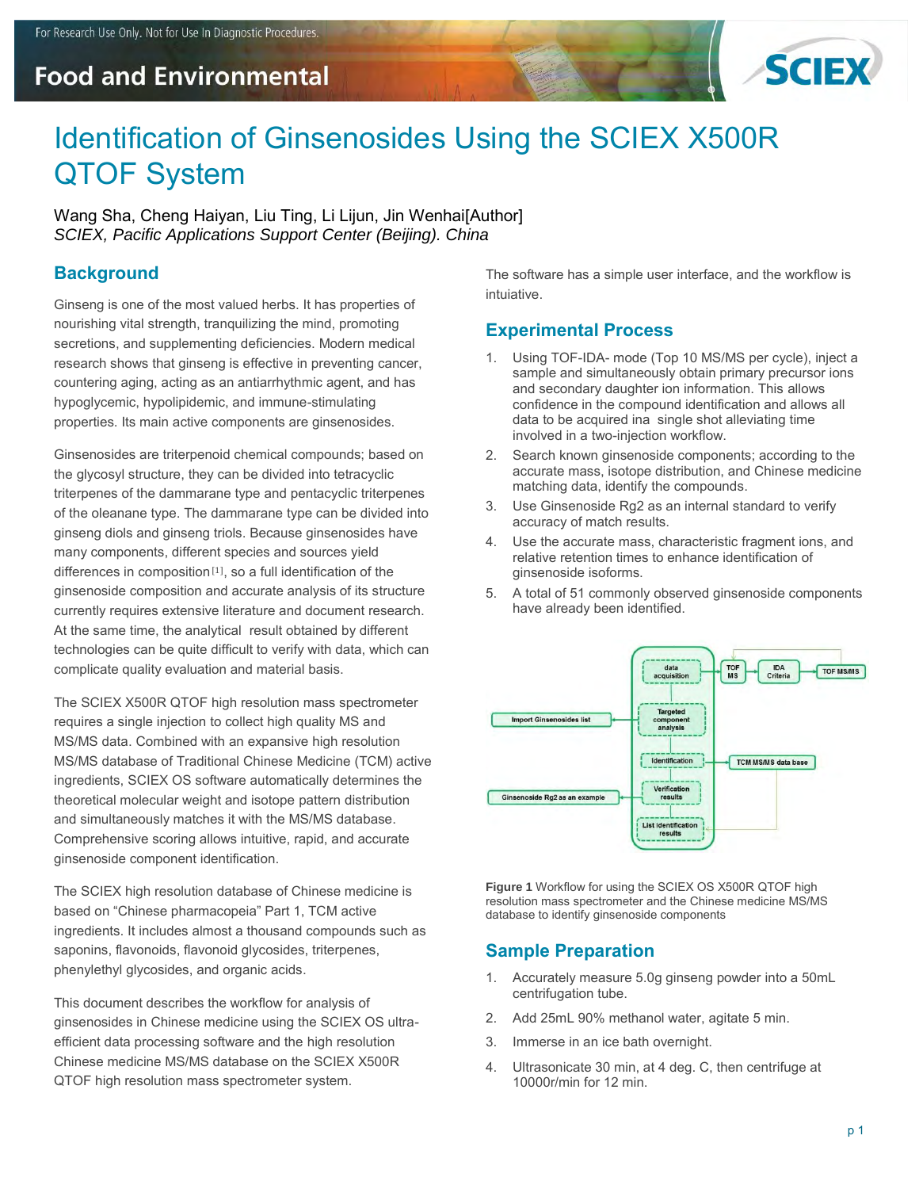# **Food and Environmental**



# Identification of Ginsenosides Using the SCIEX X500R QTOF System

Wang Sha, Cheng Haiyan, Liu Ting, Li Lijun, Jin Wenhai[Author] *SCIEX, Pacific Applications Support Center (Beijing). China* 

# **Background**

Ginseng is one of the most valued herbs. It has properties of nourishing vital strength, tranquilizing the mind, promoting secretions, and supplementing deficiencies. Modern medical research shows that ginseng is effective in preventing cancer, countering aging, acting as an antiarrhythmic agent, and has hypoglycemic, hypolipidemic, and immune-stimulating properties. Its main active components are ginsenosides.

Ginsenosides are triterpenoid chemical compounds; based on the glycosyl structure, they can be divided into tetracyclic triterpenes of the dammarane type and pentacyclic triterpenes of the oleanane type. The dammarane type can be divided into ginseng diols and ginseng triols. Because ginsenosides have many components, different species and sources yield differences in composition [1], so a full identification of the ginsenoside composition and accurate analysis of its structure currently requires extensive literature and document research. At the same time, the analytical result obtained by different technologies can be quite difficult to verify with data, which can complicate quality evaluation and material basis.

The SCIEX X500R QTOF high resolution mass spectrometer requires a single injection to collect high quality MS and MS/MS data. Combined with an expansive high resolution MS/MS database of Traditional Chinese Medicine (TCM) active ingredients, SCIEX OS software automatically determines the theoretical molecular weight and isotope pattern distribution and simultaneously matches it with the MS/MS database. Comprehensive scoring allows intuitive, rapid, and accurate ginsenoside component identification.

The SCIEX high resolution database of Chinese medicine is based on "Chinese pharmacopeia" Part 1, TCM active ingredients. It includes almost a thousand compounds such as saponins, flavonoids, flavonoid glycosides, triterpenes, phenylethyl glycosides, and organic acids.

This document describes the workflow for analysis of ginsenosides in Chinese medicine using the SCIEX OS ultraefficient data processing software and the high resolution Chinese medicine MS/MS database on the SCIEX X500R QTOF high resolution mass spectrometer system.

The software has a simple user interface, and the workflow is intuiative.

# **Experimental Process**

- 1. Using TOF-IDA- mode (Top 10 MS/MS per cycle), inject a sample and simultaneously obtain primary precursor ions and secondary daughter ion information. This allows confidence in the compound identification and allows all data to be acquired ina single shot alleviating time involved in a two-injection workflow.
- 2. Search known ginsenoside components; according to the accurate mass, isotope distribution, and Chinese medicine matching data, identify the compounds.
- 3. Use Ginsenoside Rg2 as an internal standard to verify accuracy of match results.
- 4. Use the accurate mass, characteristic fragment ions, and relative retention times to enhance identification of ginsenoside isoforms.
- 5. A total of 51 commonly observed ginsenoside components have already been identified.



**Figure 1** Workflow for using the SCIEX OS X500R QTOF high resolution mass spectrometer and the Chinese medicine MS/MS database to identify ginsenoside components

# **Sample Preparation**

- 1. Accurately measure 5.0g ginseng powder into a 50mL centrifugation tube.
- 2. Add 25mL 90% methanol water, agitate 5 min.
- 3. Immerse in an ice bath overnight.
- 4. Ultrasonicate 30 min, at 4 deg. C, then centrifuge at 10000r/min for 12 min.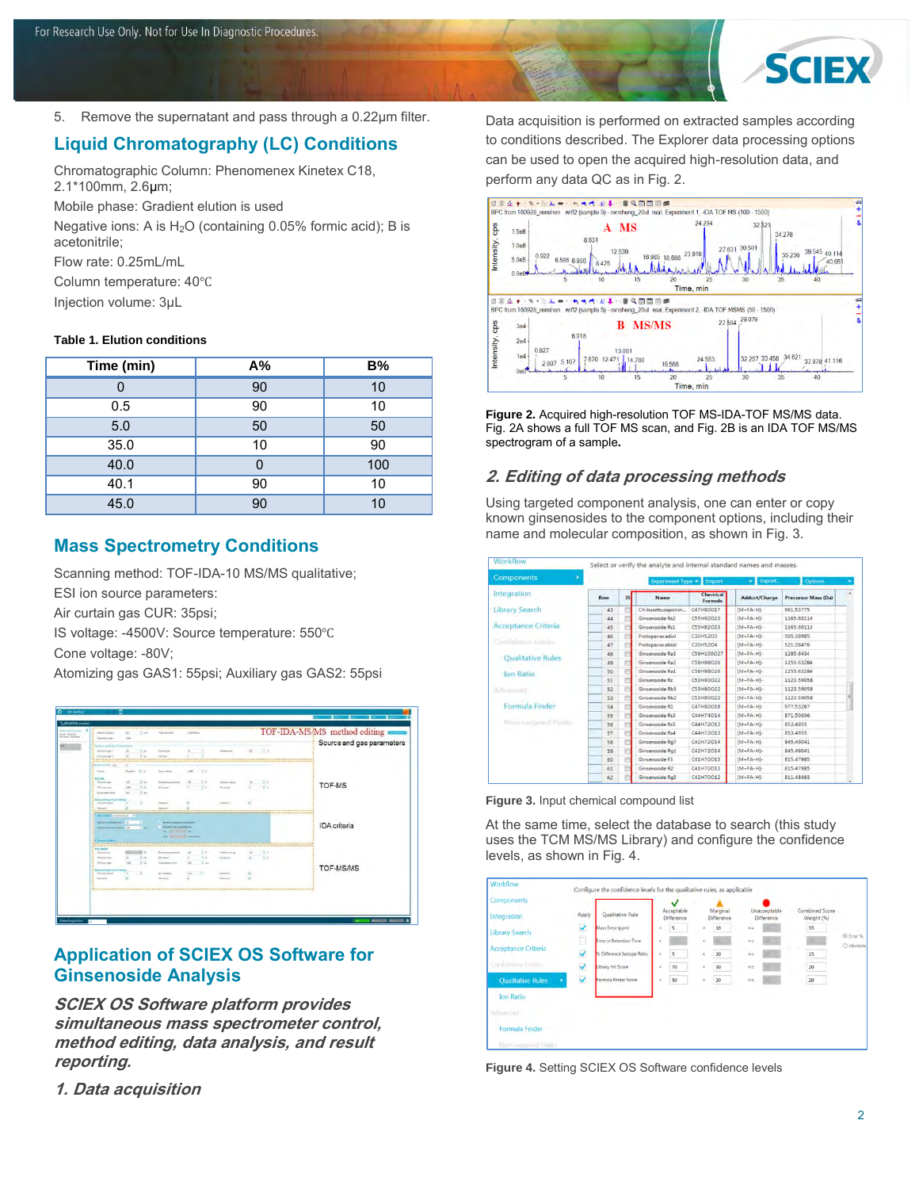

5. Remove the supernatant and pass through a 0.22µm filter.

# **Liquid Chromatography (LC) Conditions**

Chromatographic Column: Phenomenex Kinetex C18, 2.1\*100mm, 2.6µm;

Mobile phase: Gradient elution is used

Negative ions: A is  $H<sub>2</sub>O$  (containing 0.05% formic acid); B is acetonitrile;

Flow rate: 0.25mL/mL

Column temperature: 40℃

Injection volume: 3µL

#### **Table 1. Elution conditions**

| Time (min) | A% | <b>B%</b>      |
|------------|----|----------------|
| 0          | 90 | 10             |
| 0.5        | 90 | 10             |
| 5.0        | 50 | 50             |
| 35.0       | 10 | 90             |
| 40.0       |    | 100            |
| 40.1       | 90 | 10             |
| 45.0       | 90 | 1 <sub>0</sub> |

#### **Mass Spectrometry Conditions**

Scanning method: TOF-IDA-10 MS/MS qualitative; ESI ion source parameters: Air curtain gas CUR: 35psi; IS voltage: -4500V: Source temperature: 550℃ Cone voltage: -80V; Atomizing gas GAS1: 55psi; Auxiliary gas GAS2: 55psi



#### **Application of SCIEX OS Software for Ginsenoside Analysis**

**SCIEX OS Software platform provides simultaneous mass spectrometer control, method editing, data analysis, and result reporting.** 

**1. Data acquisition** 

Data acquisition is performed on extracted samples according to conditions described. The Explorer data processing options can be used to open the acquired high-resolution data, and perform any data QC as in Fig. 2.



**Figure 2.** Acquired high-resolution TOF MS-IDA-TOF MS/MS data. Fig. 2A shows a full TOF MS scan, and Fig. 2B is an IDA TOF MS/MS spectrogram of a sample**.**

#### **2. Editing of data processing methods**

Using targeted component analysis, one can enter or copy known ginsenosides to the component options, including their name and molecular composition, as shown in Fig. 3.

| Workflow                   | Select or verify the analyte and internal standard names and masses. |     |                   |                            |                   |                     |  |  |
|----------------------------|----------------------------------------------------------------------|-----|-------------------|----------------------------|-------------------|---------------------|--|--|
| <b>Components</b><br>٠     | Experiment Type = Import<br>$\bullet$ Export.<br><b>Options</b>      |     |                   |                            |                   |                     |  |  |
| Integration                | Row                                                                  | IS. | Name              | <b>Chemical</b><br>Formula | Adduct/Charge     | Precursor Mass (Da) |  |  |
| Library Search             | 43                                                                   |     | Chikusetsusaponin | C47H80O17                  | $[MA + EA - H] -$ | 961.53775           |  |  |
|                            | 44                                                                   |     | Ginsenoside Rs2   | C55H92O23                  | $IM + FA - HI -$  | 1165.60114          |  |  |
| <b>Acceptance Criteria</b> | 45                                                                   |     | Ginsenoside Rs1   | C55H92O23                  | $[M+FA-H]$        | 1165.60114          |  |  |
|                            | 46                                                                   |     | Protopanaxadiol   | C30H52O3                   | $[M + FA - H] -$  | 505.38985           |  |  |
| Combiners Compa            | 47                                                                   |     | Protopanaxatriol  | C30H52O4                   | $(M + FA - H)$    | 521.38476           |  |  |
|                            | 48                                                                   |     | Ginsenoside Ra3   | C59H100O27                 | $[MA + FA - H] -$ | 1285.6434           |  |  |
| <b>Qualitative Rules</b>   | 49                                                                   |     | Ginsenoside Ra2   | CS8H98026                  | $[M + FA - H] -$  | 1255.63284          |  |  |
| Ion Ratio                  | 50                                                                   |     | Ginsenoside Ra1   | C58H98O26                  | $MA + FA - HI -$  | 1255.63284          |  |  |
|                            | 51                                                                   |     | Ginsenoside Rc    | C53H90O22                  | $IM + FA - HI -$  | 1123.59058          |  |  |
| Advanced                   | 52                                                                   |     | Ginsenoside Rb3   | C53H90O22                  | $[M + FA - H]$    | 1123.59058          |  |  |
|                            | 53                                                                   |     | Ginsenoside Rb2   | C53H90O22                  | $IM - FA - HI -$  | 1123,59058          |  |  |
| Formula Finder             | 54                                                                   |     | Ginsenoside R1    | CA7H80018                  | $[MA-FA-H]$ -     | 977.53267           |  |  |
|                            | 55                                                                   |     | Ginsenpside Rs3   | C44H74O14                  | $[M + FA - H] -$  | 871,50606           |  |  |
| Move hard oted Posts.      | 56                                                                   |     | Ginsenoside Rs5   | C44H72013                  | $[MA + FA - HI]$  | 853,4955            |  |  |
|                            | 57                                                                   |     | Ginsenoside Rs4   | C44H72O13                  | $[M + FA - H]$    | 853.4955            |  |  |
|                            | 58                                                                   |     | Ginsenoside Ra7   | C42H72O14                  | $[M+FA-H]$ -      | 845,49041           |  |  |
|                            | 59                                                                   |     | Ginsenoside Rq1   | C42H72O14                  | $[M + FA - H] -$  | 845.49041           |  |  |
|                            | 60                                                                   |     | Ginsenpside F3    | C41H70O13                  | $[M + FA - H] -$  | 815.47985           |  |  |
|                            | 61                                                                   |     | Ginsenoside R2    | C41H70O13                  | $[M + FA - H]$    | 815.47985           |  |  |
|                            | 62                                                                   |     | Ginsenoside Ra5   | C42H70O12                  | $[M-FA-H]$ -      | 811.48493           |  |  |

**Figure 3.** Input chemical compound list

At the same time, select the database to search (this study uses the TCM MS/MS Library) and configure the confidence levels, as shown in Fig. 4.

| Components                    |              |                            |   | Acceptable |          | Marginal   | Unacceptable  | Combined Score |                         |
|-------------------------------|--------------|----------------------------|---|------------|----------|------------|---------------|----------------|-------------------------|
| Integration                   | Apply        | Qualitative Rule           |   | Difference |          | Difference | Difference    | Weight (%)     |                         |
| <b>Library Search</b>         | V            | Mass Error (ppm)           | è | $5 -$      | è        | 10         | $\rightarrow$ | 35             |                         |
|                               | --<br>◫      | Error in Retention Time:   |   |            | $\leq$   |            | $>$ $\pi$     |                | C Error %<br>C Absolute |
| Acceptance Criteria           | $\checkmark$ | % Difference Isotope Ratio | ë | l s        | é        | 20         | $\mathbf{v}$  | 25             |                         |
| Coral America County          | $\checkmark$ | Library Hit Score          |   | 70         | $\alpha$ | 30         | $\epsilon$    | 20             |                         |
| <b>Oualitative Rules</b><br>٠ | V            | Formula Finder Score       |   | 50<br>⋍    | ×        | 20         | $\leq 0$      | 20             |                         |
| Ion Ratio                     |              |                            |   |            |          |            |               |                |                         |
| Orbert could                  |              |                            |   |            |          |            |               |                |                         |
| Formula Finder                |              |                            |   |            |          |            |               |                |                         |
| Monitoreasterd Hunky          |              |                            |   |            |          |            |               |                |                         |

**Figure 4.** Setting SCIEX OS Software confidence levels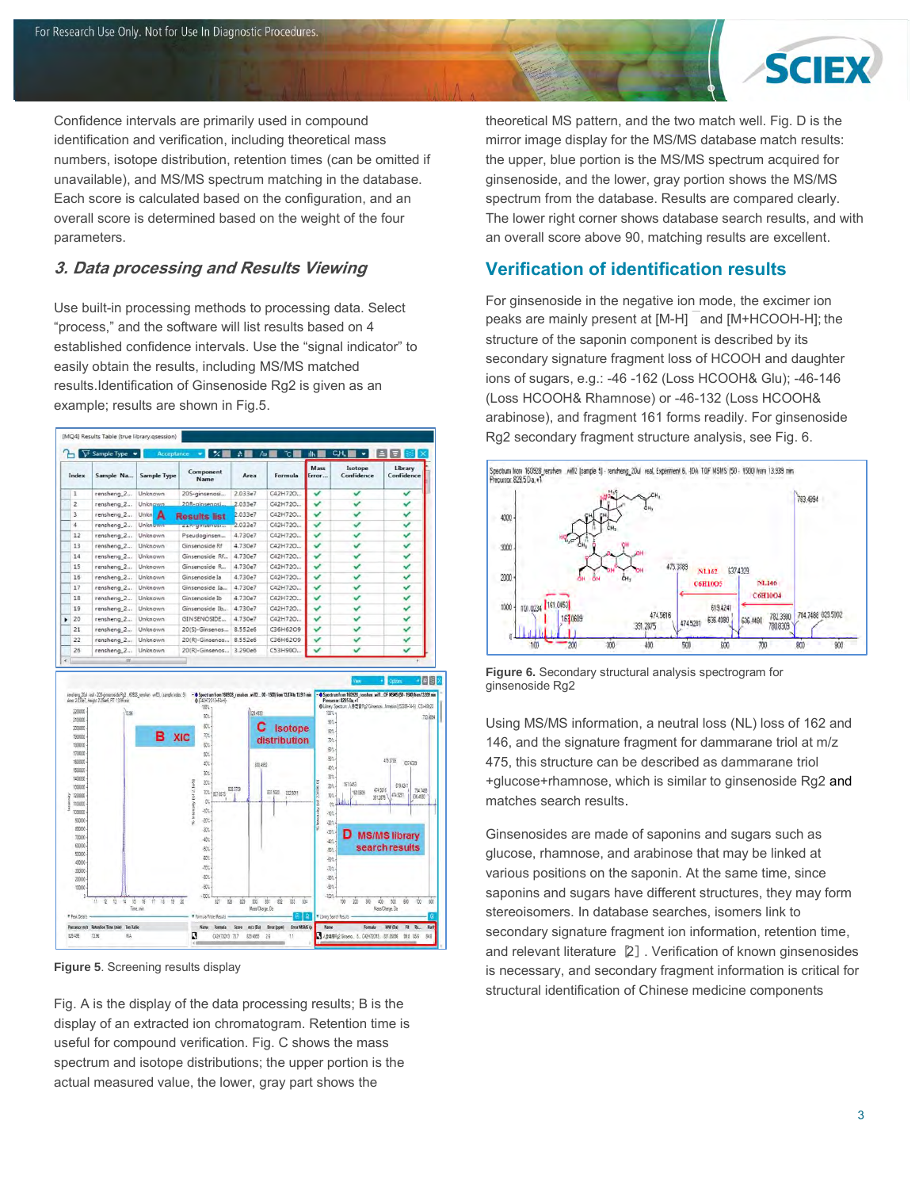

Confidence intervals are primarily used in compound identification and verification, including theoretical mass numbers, isotope distribution, retention times (can be omitted if unavailable), and MS/MS spectrum matching in the database. Each score is calculated based on the configuration, and an overall score is determined based on the weight of the four parameters.

# **3. Data processing and Results Viewing**

Use built-in processing methods to processing data. Select "process," and the software will list results based on 4 established confidence intervals. Use the "signal indicator" to easily obtain the results, including MS/MS matched results.Identification of Ginsenoside Rg2 is given as an example; results are shown in Fig.5.



**Figure 5**. Screening results display

Fig. A is the display of the data processing results; B is the display of an extracted ion chromatogram. Retention time is useful for compound verification. Fig. C shows the mass spectrum and isotope distributions; the upper portion is the actual measured value, the lower, gray part shows the

theoretical MS pattern, and the two match well. Fig. D is the mirror image display for the MS/MS database match results: the upper, blue portion is the MS/MS spectrum acquired for ginsenoside, and the lower, gray portion shows the MS/MS spectrum from the database. Results are compared clearly. The lower right corner shows database search results, and with an overall score above 90, matching results are excellent.

# **Verification of identification results**

For ginsenoside in the negative ion mode, the excimer ion peaks are mainly present at  $[M-H]$  and  $[M+HCOOH-H]$ ; the structure of the saponin component is described by its secondary signature fragment loss of HCOOH and daughter ions of sugars, e.g.: -46 -162 (Loss HCOOH& Glu); -46-146 (Loss HCOOH& Rhamnose) or -46-132 (Loss HCOOH& arabinose), and fragment 161 forms readily. For ginsenoside Rg2 secondary fragment structure analysis, see Fig. 6.



**Figure 6.** Secondary structural analysis spectrogram for ginsenoside Rg2

Using MS/MS information, a neutral loss (NL) loss of 162 and 146, and the signature fragment for dammarane triol at m/z 475, this structure can be described as dammarane triol +glucose+rhamnose, which is similar to ginsenoside Rg2 and matches search results.

Ginsenosides are made of saponins and sugars such as glucose, rhamnose, and arabinose that may be linked at various positions on the saponin. At the same time, since saponins and sugars have different structures, they may form stereoisomers. In database searches, isomers link to secondary signature fragment ion information, retention time, and relevant literature [2]. Verification of known ginsenosides is necessary, and secondary fragment information is critical for structural identification of Chinese medicine components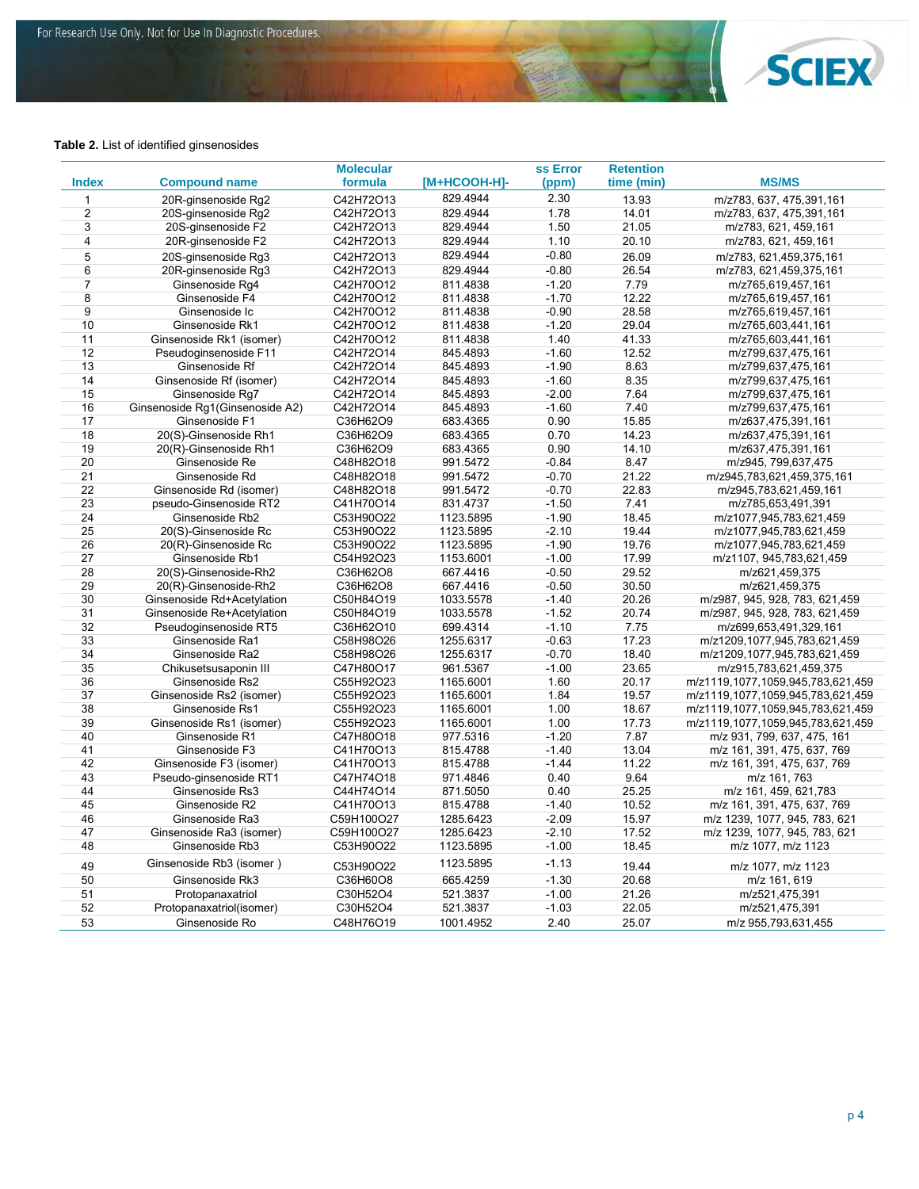

#### **Table 2.** List of identified ginsenosides

| <b>MS/MS</b><br>formula<br>[M+HCOOH-H]-<br>time (min)<br><b>Index</b><br><b>Compound name</b><br>(ppm)<br>2.30<br>829.4944<br>13.93<br>$\mathbf{1}$<br>20R-ginsenoside Rg2<br>C42H72O13<br>m/z783, 637, 475, 391, 161<br>$\overline{2}$<br>1.78<br>20S-ginsenoside Rg2<br>829.4944<br>14.01<br>m/z783, 637, 475,391,161<br>C42H72O13<br>3<br>1.50<br>20S-ginsenoside F2<br>C42H72O13<br>829.4944<br>21.05<br>m/z783, 621, 459, 161<br>4<br>20R-ginsenoside F2<br>C42H72O13<br>829.4944<br>1.10<br>20.10<br>m/z783, 621, 459, 161<br>829.4944<br>$-0.80$<br>5<br>20S-ginsenoside Rg3<br>C42H72O13<br>26.09<br>m/z783, 621,459,375,161<br>6<br>$-0.80$<br>20R-ginsenoside Rg3<br>829.4944<br>26.54<br>C42H72O13<br>m/z783, 621,459,375,161<br>$-1.20$<br>7.79<br>$\overline{7}$<br>Ginsenoside Rq4<br>C42H70O12<br>811.4838<br>m/z765,619,457,161<br>8<br>$-1.70$<br>12.22<br>Ginsenoside F4<br>C42H70O12<br>811.4838<br>m/z765,619,457,161<br>$\overline{9}$<br>$-0.90$<br>28.58<br>Ginsenoside Ic<br>811.4838<br>C42H70O12<br>m/z765,619,457,161<br>10<br>Ginsenoside Rk1<br>811.4838<br>$-1.20$<br>29.04<br>C42H70O12<br>m/z765,603,441,161<br>11<br>Ginsenoside Rk1 (isomer)<br>C42H70O12<br>811.4838<br>1.40<br>41.33<br>m/z765,603,441,161<br>12<br>Pseudoginsenoside F11<br>$-1.60$<br>12.52<br>C42H72O14<br>845.4893<br>m/z799,637,475,161<br>$-1.90$<br>13<br>Ginsenoside Rf<br>C42H72O14<br>845.4893<br>8.63<br>m/z799,637,475,161<br>14<br>Ginsenoside Rf (isomer)<br>C42H72O14<br>845.4893<br>$-1.60$<br>8.35<br>m/z799,637,475,161<br>15<br>$-2.00$<br>Ginsenoside Rq7<br>C42H72O14<br>845.4893<br>7.64<br>m/z799,637,475,161<br>16<br>$-1.60$<br>7.40<br>Ginsenoside Rg1(Ginsenoside A2)<br>C42H72O14<br>845.4893<br>m/z799,637,475,161<br>17<br>Ginsenoside F1<br>0.90<br>C36H62O9<br>683.4365<br>15.85<br>m/z637,475,391,161<br>18<br>20(S)-Ginsenoside Rh1<br>0.70<br>14.23<br>C36H62O9<br>683.4365<br>m/z637,475,391,161<br>0.90<br>19<br>20(R)-Ginsenoside Rh1<br>683.4365<br>14.10<br>C36H62O9<br>m/z637,475,391,161<br>20<br>Ginsenoside Re<br>991.5472<br>$-0.84$<br>8.47<br>m/z945, 799, 637, 475<br>C48H82O18<br>21<br>Ginsenoside Rd<br>991.5472<br>$-0.70$<br>21.22<br>C48H82O18<br>m/z945,783,621,459,375,161<br>22<br>$-0.70$<br>22.83<br>Ginsenoside Rd (isomer)<br>C48H82O18<br>991.5472<br>m/z945,783,621,459,161<br>$-1.50$<br>23<br>pseudo-Ginsenoside RT2<br>C41H70O14<br>831.4737<br>7.41<br>m/z785,653,491,391<br>24<br>1123.5895<br>$-1.90$<br>18.45<br>Ginsenoside Rb2<br>C53H90O22<br>m/z1077,945,783,621,459<br>25<br>20(S)-Ginsenoside Rc<br>1123.5895<br>$-2.10$<br>19.44<br>C53H90O22<br>m/z1077,945,783,621,459<br>$-1.90$<br>19.76<br>26<br>20(R)-Ginsenoside Rc<br>C53H90O22<br>1123.5895<br>m/z1077,945,783,621,459<br>27<br>$-1.00$<br>Ginsenoside Rb1<br>C54H92O23<br>1153.6001<br>17.99<br>m/z1107, 945, 783, 621, 459<br>28<br>$-0.50$<br>29.52<br>20(S)-Ginsenoside-Rh2<br>C36H62O8<br>667.4416<br>m/z621,459,375<br>29<br>20(R)-Ginsenoside-Rh2<br>667.4416<br>$-0.50$<br>30.50<br>C36H62O8<br>m/z621,459,375<br>30<br>$-1.40$<br>Ginsenoside Rd+Acetylation<br>C50H84O19<br>1033.5578<br>20.26<br>m/z987, 945, 928, 783, 621,459<br>31<br>1033.5578<br>$-1.52$<br>20.74<br>Ginsenoside Re+Acetylation<br>C50H84O19<br>m/z987, 945, 928, 783, 621,459<br>32<br>$-1.10$<br>7.75<br>Pseudoginsenoside RT5<br>C36H62O10<br>699.4314<br>m/z699,653,491,329,161<br>33<br>$-0.63$<br>17.23<br>Ginsenoside Ra1<br>C58H98O26<br>1255.6317<br>m/z1209,1077,945,783,621,459<br>34<br>Ginsenoside Ra2<br>1255.6317<br>$-0.70$<br>18.40<br>C58H98O26<br>m/z1209,1077,945,783,621,459<br>35<br>$-1.00$<br>961.5367<br>23.65<br>Chikusetsusaponin III<br>C47H80O17<br>m/z915,783,621,459,375<br>1.60<br>36<br>1165.6001<br>m/z1119,1077,1059,945,783,621,459<br>Ginsenoside Rs2<br>C55H92O23<br>20.17<br>1.84<br>37<br>Ginsenoside Rs2 (isomer)<br>C55H92O23<br>1165.6001<br>19.57<br>m/z1119,1077,1059,945,783,621,459<br>38<br>1.00<br>Ginsenoside Rs1<br>1165.6001<br>18.67<br>m/z1119,1077,1059,945,783,621,459<br>C55H92O23<br>1165.6001<br>1.00<br>17.73<br>39<br>Ginsenoside Rs1 (isomer)<br>C55H92O23<br>m/z1119,1077,1059,945,783,621,459<br>40<br>$-1.20$<br>7.87<br>m/z 931, 799, 637, 475, 161<br>Ginsenoside R1<br>C47H80O18<br>977.5316<br>41<br>Ginsenoside F3<br>$-1.40$<br>13.04<br>m/z 161, 391, 475, 637, 769<br>C41H70O13<br>815.4788<br>42<br>Ginsenoside F3 (isomer)<br>$-1.44$<br>11.22<br>C41H70O13<br>815.4788<br>m/z 161, 391, 475, 637, 769<br>43<br>Pseudo-ginsenoside RT1<br>C47H74O18<br>971.4846<br>0.40<br>9.64<br>m/z 161, 763<br>44<br>Ginsenoside Rs3<br>C44H74O14<br>871.5050<br>0.40<br>25.25<br>m/z 161, 459, 621, 783<br>$-1.40$<br>45<br>Ginsenoside R2<br>C41H70O13<br>815.4788<br>10.52<br>m/z 161, 391, 475, 637, 769<br>$-2.09$<br>46<br>Ginsenoside Ra3<br>C59H100O27<br>1285.6423<br>15.97<br>m/z 1239, 1077, 945, 783, 621<br>$-2.10$<br>17.52<br>47<br>Ginsenoside Ra3 (isomer)<br>C59H100O27<br>1285.6423<br>m/z 1239, 1077, 945, 783, 621<br>$-1.00$<br>48<br>Ginsenoside Rb3<br>C53H90O22<br>1123.5895<br>18.45<br>m/z 1077, m/z 1123<br>Ginsenoside Rb3 (isomer)<br>1123.5895<br>$-1.13$<br>49<br>C53H90O22<br>19.44<br>m/z 1077, m/z 1123<br>665.4259<br>$-1.30$<br>20.68<br>50<br>Ginsenoside Rk3<br>C36H60O8<br>m/z 161, 619<br>$-1.00$<br>51<br>Protopanaxatriol<br>C30H52O4<br>521.3837<br>21.26<br>m/z521,475,391<br>52<br>$-1.03$<br>Protopanaxatriol(isomer)<br>C30H52O4<br>521.3837<br>22.05<br>m/z521,475,391<br>53<br>Ginsenoside Ro<br>C48H76O19<br>1001.4952<br>2.40<br>25.07<br>m/z 955,793,631,455 |  | <b>Molecular</b> | ss Error | <b>Retention</b> |  |
|------------------------------------------------------------------------------------------------------------------------------------------------------------------------------------------------------------------------------------------------------------------------------------------------------------------------------------------------------------------------------------------------------------------------------------------------------------------------------------------------------------------------------------------------------------------------------------------------------------------------------------------------------------------------------------------------------------------------------------------------------------------------------------------------------------------------------------------------------------------------------------------------------------------------------------------------------------------------------------------------------------------------------------------------------------------------------------------------------------------------------------------------------------------------------------------------------------------------------------------------------------------------------------------------------------------------------------------------------------------------------------------------------------------------------------------------------------------------------------------------------------------------------------------------------------------------------------------------------------------------------------------------------------------------------------------------------------------------------------------------------------------------------------------------------------------------------------------------------------------------------------------------------------------------------------------------------------------------------------------------------------------------------------------------------------------------------------------------------------------------------------------------------------------------------------------------------------------------------------------------------------------------------------------------------------------------------------------------------------------------------------------------------------------------------------------------------------------------------------------------------------------------------------------------------------------------------------------------------------------------------------------------------------------------------------------------------------------------------------------------------------------------------------------------------------------------------------------------------------------------------------------------------------------------------------------------------------------------------------------------------------------------------------------------------------------------------------------------------------------------------------------------------------------------------------------------------------------------------------------------------------------------------------------------------------------------------------------------------------------------------------------------------------------------------------------------------------------------------------------------------------------------------------------------------------------------------------------------------------------------------------------------------------------------------------------------------------------------------------------------------------------------------------------------------------------------------------------------------------------------------------------------------------------------------------------------------------------------------------------------------------------------------------------------------------------------------------------------------------------------------------------------------------------------------------------------------------------------------------------------------------------------------------------------------------------------------------------------------------------------------------------------------------------------------------------------------------------------------------------------------------------------------------------------------------------------------------------------------------------------------------------------------------------------------------------------------------------------------------------------------------------------------------------------------------------------------------------------------------------------------------------------------------------------------------------------------------------------------------------------------------------------------------------------------------------------------------------------------------------------------------------------------------------------------------------------------------------------------------------------------------------------------------------------------------------------------------------------------------------------------------------------------------------------------------------------------------------------------------------------------------------------------------------------------------------------------------------------------------|--|------------------|----------|------------------|--|
|                                                                                                                                                                                                                                                                                                                                                                                                                                                                                                                                                                                                                                                                                                                                                                                                                                                                                                                                                                                                                                                                                                                                                                                                                                                                                                                                                                                                                                                                                                                                                                                                                                                                                                                                                                                                                                                                                                                                                                                                                                                                                                                                                                                                                                                                                                                                                                                                                                                                                                                                                                                                                                                                                                                                                                                                                                                                                                                                                                                                                                                                                                                                                                                                                                                                                                                                                                                                                                                                                                                                                                                                                                                                                                                                                                                                                                                                                                                                                                                                                                                                                                                                                                                                                                                                                                                                                                                                                                                                                                                                                                                                                                                                                                                                                                                                                                                                                                                                                                                                                                                                                                                                                                                                                                                                                                                                                                                                                                                                                                                                                                                                            |  |                  |          |                  |  |
|                                                                                                                                                                                                                                                                                                                                                                                                                                                                                                                                                                                                                                                                                                                                                                                                                                                                                                                                                                                                                                                                                                                                                                                                                                                                                                                                                                                                                                                                                                                                                                                                                                                                                                                                                                                                                                                                                                                                                                                                                                                                                                                                                                                                                                                                                                                                                                                                                                                                                                                                                                                                                                                                                                                                                                                                                                                                                                                                                                                                                                                                                                                                                                                                                                                                                                                                                                                                                                                                                                                                                                                                                                                                                                                                                                                                                                                                                                                                                                                                                                                                                                                                                                                                                                                                                                                                                                                                                                                                                                                                                                                                                                                                                                                                                                                                                                                                                                                                                                                                                                                                                                                                                                                                                                                                                                                                                                                                                                                                                                                                                                                                            |  |                  |          |                  |  |
|                                                                                                                                                                                                                                                                                                                                                                                                                                                                                                                                                                                                                                                                                                                                                                                                                                                                                                                                                                                                                                                                                                                                                                                                                                                                                                                                                                                                                                                                                                                                                                                                                                                                                                                                                                                                                                                                                                                                                                                                                                                                                                                                                                                                                                                                                                                                                                                                                                                                                                                                                                                                                                                                                                                                                                                                                                                                                                                                                                                                                                                                                                                                                                                                                                                                                                                                                                                                                                                                                                                                                                                                                                                                                                                                                                                                                                                                                                                                                                                                                                                                                                                                                                                                                                                                                                                                                                                                                                                                                                                                                                                                                                                                                                                                                                                                                                                                                                                                                                                                                                                                                                                                                                                                                                                                                                                                                                                                                                                                                                                                                                                                            |  |                  |          |                  |  |
|                                                                                                                                                                                                                                                                                                                                                                                                                                                                                                                                                                                                                                                                                                                                                                                                                                                                                                                                                                                                                                                                                                                                                                                                                                                                                                                                                                                                                                                                                                                                                                                                                                                                                                                                                                                                                                                                                                                                                                                                                                                                                                                                                                                                                                                                                                                                                                                                                                                                                                                                                                                                                                                                                                                                                                                                                                                                                                                                                                                                                                                                                                                                                                                                                                                                                                                                                                                                                                                                                                                                                                                                                                                                                                                                                                                                                                                                                                                                                                                                                                                                                                                                                                                                                                                                                                                                                                                                                                                                                                                                                                                                                                                                                                                                                                                                                                                                                                                                                                                                                                                                                                                                                                                                                                                                                                                                                                                                                                                                                                                                                                                                            |  |                  |          |                  |  |
|                                                                                                                                                                                                                                                                                                                                                                                                                                                                                                                                                                                                                                                                                                                                                                                                                                                                                                                                                                                                                                                                                                                                                                                                                                                                                                                                                                                                                                                                                                                                                                                                                                                                                                                                                                                                                                                                                                                                                                                                                                                                                                                                                                                                                                                                                                                                                                                                                                                                                                                                                                                                                                                                                                                                                                                                                                                                                                                                                                                                                                                                                                                                                                                                                                                                                                                                                                                                                                                                                                                                                                                                                                                                                                                                                                                                                                                                                                                                                                                                                                                                                                                                                                                                                                                                                                                                                                                                                                                                                                                                                                                                                                                                                                                                                                                                                                                                                                                                                                                                                                                                                                                                                                                                                                                                                                                                                                                                                                                                                                                                                                                                            |  |                  |          |                  |  |
|                                                                                                                                                                                                                                                                                                                                                                                                                                                                                                                                                                                                                                                                                                                                                                                                                                                                                                                                                                                                                                                                                                                                                                                                                                                                                                                                                                                                                                                                                                                                                                                                                                                                                                                                                                                                                                                                                                                                                                                                                                                                                                                                                                                                                                                                                                                                                                                                                                                                                                                                                                                                                                                                                                                                                                                                                                                                                                                                                                                                                                                                                                                                                                                                                                                                                                                                                                                                                                                                                                                                                                                                                                                                                                                                                                                                                                                                                                                                                                                                                                                                                                                                                                                                                                                                                                                                                                                                                                                                                                                                                                                                                                                                                                                                                                                                                                                                                                                                                                                                                                                                                                                                                                                                                                                                                                                                                                                                                                                                                                                                                                                                            |  |                  |          |                  |  |
|                                                                                                                                                                                                                                                                                                                                                                                                                                                                                                                                                                                                                                                                                                                                                                                                                                                                                                                                                                                                                                                                                                                                                                                                                                                                                                                                                                                                                                                                                                                                                                                                                                                                                                                                                                                                                                                                                                                                                                                                                                                                                                                                                                                                                                                                                                                                                                                                                                                                                                                                                                                                                                                                                                                                                                                                                                                                                                                                                                                                                                                                                                                                                                                                                                                                                                                                                                                                                                                                                                                                                                                                                                                                                                                                                                                                                                                                                                                                                                                                                                                                                                                                                                                                                                                                                                                                                                                                                                                                                                                                                                                                                                                                                                                                                                                                                                                                                                                                                                                                                                                                                                                                                                                                                                                                                                                                                                                                                                                                                                                                                                                                            |  |                  |          |                  |  |
|                                                                                                                                                                                                                                                                                                                                                                                                                                                                                                                                                                                                                                                                                                                                                                                                                                                                                                                                                                                                                                                                                                                                                                                                                                                                                                                                                                                                                                                                                                                                                                                                                                                                                                                                                                                                                                                                                                                                                                                                                                                                                                                                                                                                                                                                                                                                                                                                                                                                                                                                                                                                                                                                                                                                                                                                                                                                                                                                                                                                                                                                                                                                                                                                                                                                                                                                                                                                                                                                                                                                                                                                                                                                                                                                                                                                                                                                                                                                                                                                                                                                                                                                                                                                                                                                                                                                                                                                                                                                                                                                                                                                                                                                                                                                                                                                                                                                                                                                                                                                                                                                                                                                                                                                                                                                                                                                                                                                                                                                                                                                                                                                            |  |                  |          |                  |  |
|                                                                                                                                                                                                                                                                                                                                                                                                                                                                                                                                                                                                                                                                                                                                                                                                                                                                                                                                                                                                                                                                                                                                                                                                                                                                                                                                                                                                                                                                                                                                                                                                                                                                                                                                                                                                                                                                                                                                                                                                                                                                                                                                                                                                                                                                                                                                                                                                                                                                                                                                                                                                                                                                                                                                                                                                                                                                                                                                                                                                                                                                                                                                                                                                                                                                                                                                                                                                                                                                                                                                                                                                                                                                                                                                                                                                                                                                                                                                                                                                                                                                                                                                                                                                                                                                                                                                                                                                                                                                                                                                                                                                                                                                                                                                                                                                                                                                                                                                                                                                                                                                                                                                                                                                                                                                                                                                                                                                                                                                                                                                                                                                            |  |                  |          |                  |  |
|                                                                                                                                                                                                                                                                                                                                                                                                                                                                                                                                                                                                                                                                                                                                                                                                                                                                                                                                                                                                                                                                                                                                                                                                                                                                                                                                                                                                                                                                                                                                                                                                                                                                                                                                                                                                                                                                                                                                                                                                                                                                                                                                                                                                                                                                                                                                                                                                                                                                                                                                                                                                                                                                                                                                                                                                                                                                                                                                                                                                                                                                                                                                                                                                                                                                                                                                                                                                                                                                                                                                                                                                                                                                                                                                                                                                                                                                                                                                                                                                                                                                                                                                                                                                                                                                                                                                                                                                                                                                                                                                                                                                                                                                                                                                                                                                                                                                                                                                                                                                                                                                                                                                                                                                                                                                                                                                                                                                                                                                                                                                                                                                            |  |                  |          |                  |  |
|                                                                                                                                                                                                                                                                                                                                                                                                                                                                                                                                                                                                                                                                                                                                                                                                                                                                                                                                                                                                                                                                                                                                                                                                                                                                                                                                                                                                                                                                                                                                                                                                                                                                                                                                                                                                                                                                                                                                                                                                                                                                                                                                                                                                                                                                                                                                                                                                                                                                                                                                                                                                                                                                                                                                                                                                                                                                                                                                                                                                                                                                                                                                                                                                                                                                                                                                                                                                                                                                                                                                                                                                                                                                                                                                                                                                                                                                                                                                                                                                                                                                                                                                                                                                                                                                                                                                                                                                                                                                                                                                                                                                                                                                                                                                                                                                                                                                                                                                                                                                                                                                                                                                                                                                                                                                                                                                                                                                                                                                                                                                                                                                            |  |                  |          |                  |  |
|                                                                                                                                                                                                                                                                                                                                                                                                                                                                                                                                                                                                                                                                                                                                                                                                                                                                                                                                                                                                                                                                                                                                                                                                                                                                                                                                                                                                                                                                                                                                                                                                                                                                                                                                                                                                                                                                                                                                                                                                                                                                                                                                                                                                                                                                                                                                                                                                                                                                                                                                                                                                                                                                                                                                                                                                                                                                                                                                                                                                                                                                                                                                                                                                                                                                                                                                                                                                                                                                                                                                                                                                                                                                                                                                                                                                                                                                                                                                                                                                                                                                                                                                                                                                                                                                                                                                                                                                                                                                                                                                                                                                                                                                                                                                                                                                                                                                                                                                                                                                                                                                                                                                                                                                                                                                                                                                                                                                                                                                                                                                                                                                            |  |                  |          |                  |  |
|                                                                                                                                                                                                                                                                                                                                                                                                                                                                                                                                                                                                                                                                                                                                                                                                                                                                                                                                                                                                                                                                                                                                                                                                                                                                                                                                                                                                                                                                                                                                                                                                                                                                                                                                                                                                                                                                                                                                                                                                                                                                                                                                                                                                                                                                                                                                                                                                                                                                                                                                                                                                                                                                                                                                                                                                                                                                                                                                                                                                                                                                                                                                                                                                                                                                                                                                                                                                                                                                                                                                                                                                                                                                                                                                                                                                                                                                                                                                                                                                                                                                                                                                                                                                                                                                                                                                                                                                                                                                                                                                                                                                                                                                                                                                                                                                                                                                                                                                                                                                                                                                                                                                                                                                                                                                                                                                                                                                                                                                                                                                                                                                            |  |                  |          |                  |  |
|                                                                                                                                                                                                                                                                                                                                                                                                                                                                                                                                                                                                                                                                                                                                                                                                                                                                                                                                                                                                                                                                                                                                                                                                                                                                                                                                                                                                                                                                                                                                                                                                                                                                                                                                                                                                                                                                                                                                                                                                                                                                                                                                                                                                                                                                                                                                                                                                                                                                                                                                                                                                                                                                                                                                                                                                                                                                                                                                                                                                                                                                                                                                                                                                                                                                                                                                                                                                                                                                                                                                                                                                                                                                                                                                                                                                                                                                                                                                                                                                                                                                                                                                                                                                                                                                                                                                                                                                                                                                                                                                                                                                                                                                                                                                                                                                                                                                                                                                                                                                                                                                                                                                                                                                                                                                                                                                                                                                                                                                                                                                                                                                            |  |                  |          |                  |  |
|                                                                                                                                                                                                                                                                                                                                                                                                                                                                                                                                                                                                                                                                                                                                                                                                                                                                                                                                                                                                                                                                                                                                                                                                                                                                                                                                                                                                                                                                                                                                                                                                                                                                                                                                                                                                                                                                                                                                                                                                                                                                                                                                                                                                                                                                                                                                                                                                                                                                                                                                                                                                                                                                                                                                                                                                                                                                                                                                                                                                                                                                                                                                                                                                                                                                                                                                                                                                                                                                                                                                                                                                                                                                                                                                                                                                                                                                                                                                                                                                                                                                                                                                                                                                                                                                                                                                                                                                                                                                                                                                                                                                                                                                                                                                                                                                                                                                                                                                                                                                                                                                                                                                                                                                                                                                                                                                                                                                                                                                                                                                                                                                            |  |                  |          |                  |  |
|                                                                                                                                                                                                                                                                                                                                                                                                                                                                                                                                                                                                                                                                                                                                                                                                                                                                                                                                                                                                                                                                                                                                                                                                                                                                                                                                                                                                                                                                                                                                                                                                                                                                                                                                                                                                                                                                                                                                                                                                                                                                                                                                                                                                                                                                                                                                                                                                                                                                                                                                                                                                                                                                                                                                                                                                                                                                                                                                                                                                                                                                                                                                                                                                                                                                                                                                                                                                                                                                                                                                                                                                                                                                                                                                                                                                                                                                                                                                                                                                                                                                                                                                                                                                                                                                                                                                                                                                                                                                                                                                                                                                                                                                                                                                                                                                                                                                                                                                                                                                                                                                                                                                                                                                                                                                                                                                                                                                                                                                                                                                                                                                            |  |                  |          |                  |  |
|                                                                                                                                                                                                                                                                                                                                                                                                                                                                                                                                                                                                                                                                                                                                                                                                                                                                                                                                                                                                                                                                                                                                                                                                                                                                                                                                                                                                                                                                                                                                                                                                                                                                                                                                                                                                                                                                                                                                                                                                                                                                                                                                                                                                                                                                                                                                                                                                                                                                                                                                                                                                                                                                                                                                                                                                                                                                                                                                                                                                                                                                                                                                                                                                                                                                                                                                                                                                                                                                                                                                                                                                                                                                                                                                                                                                                                                                                                                                                                                                                                                                                                                                                                                                                                                                                                                                                                                                                                                                                                                                                                                                                                                                                                                                                                                                                                                                                                                                                                                                                                                                                                                                                                                                                                                                                                                                                                                                                                                                                                                                                                                                            |  |                  |          |                  |  |
|                                                                                                                                                                                                                                                                                                                                                                                                                                                                                                                                                                                                                                                                                                                                                                                                                                                                                                                                                                                                                                                                                                                                                                                                                                                                                                                                                                                                                                                                                                                                                                                                                                                                                                                                                                                                                                                                                                                                                                                                                                                                                                                                                                                                                                                                                                                                                                                                                                                                                                                                                                                                                                                                                                                                                                                                                                                                                                                                                                                                                                                                                                                                                                                                                                                                                                                                                                                                                                                                                                                                                                                                                                                                                                                                                                                                                                                                                                                                                                                                                                                                                                                                                                                                                                                                                                                                                                                                                                                                                                                                                                                                                                                                                                                                                                                                                                                                                                                                                                                                                                                                                                                                                                                                                                                                                                                                                                                                                                                                                                                                                                                                            |  |                  |          |                  |  |
|                                                                                                                                                                                                                                                                                                                                                                                                                                                                                                                                                                                                                                                                                                                                                                                                                                                                                                                                                                                                                                                                                                                                                                                                                                                                                                                                                                                                                                                                                                                                                                                                                                                                                                                                                                                                                                                                                                                                                                                                                                                                                                                                                                                                                                                                                                                                                                                                                                                                                                                                                                                                                                                                                                                                                                                                                                                                                                                                                                                                                                                                                                                                                                                                                                                                                                                                                                                                                                                                                                                                                                                                                                                                                                                                                                                                                                                                                                                                                                                                                                                                                                                                                                                                                                                                                                                                                                                                                                                                                                                                                                                                                                                                                                                                                                                                                                                                                                                                                                                                                                                                                                                                                                                                                                                                                                                                                                                                                                                                                                                                                                                                            |  |                  |          |                  |  |
|                                                                                                                                                                                                                                                                                                                                                                                                                                                                                                                                                                                                                                                                                                                                                                                                                                                                                                                                                                                                                                                                                                                                                                                                                                                                                                                                                                                                                                                                                                                                                                                                                                                                                                                                                                                                                                                                                                                                                                                                                                                                                                                                                                                                                                                                                                                                                                                                                                                                                                                                                                                                                                                                                                                                                                                                                                                                                                                                                                                                                                                                                                                                                                                                                                                                                                                                                                                                                                                                                                                                                                                                                                                                                                                                                                                                                                                                                                                                                                                                                                                                                                                                                                                                                                                                                                                                                                                                                                                                                                                                                                                                                                                                                                                                                                                                                                                                                                                                                                                                                                                                                                                                                                                                                                                                                                                                                                                                                                                                                                                                                                                                            |  |                  |          |                  |  |
|                                                                                                                                                                                                                                                                                                                                                                                                                                                                                                                                                                                                                                                                                                                                                                                                                                                                                                                                                                                                                                                                                                                                                                                                                                                                                                                                                                                                                                                                                                                                                                                                                                                                                                                                                                                                                                                                                                                                                                                                                                                                                                                                                                                                                                                                                                                                                                                                                                                                                                                                                                                                                                                                                                                                                                                                                                                                                                                                                                                                                                                                                                                                                                                                                                                                                                                                                                                                                                                                                                                                                                                                                                                                                                                                                                                                                                                                                                                                                                                                                                                                                                                                                                                                                                                                                                                                                                                                                                                                                                                                                                                                                                                                                                                                                                                                                                                                                                                                                                                                                                                                                                                                                                                                                                                                                                                                                                                                                                                                                                                                                                                                            |  |                  |          |                  |  |
|                                                                                                                                                                                                                                                                                                                                                                                                                                                                                                                                                                                                                                                                                                                                                                                                                                                                                                                                                                                                                                                                                                                                                                                                                                                                                                                                                                                                                                                                                                                                                                                                                                                                                                                                                                                                                                                                                                                                                                                                                                                                                                                                                                                                                                                                                                                                                                                                                                                                                                                                                                                                                                                                                                                                                                                                                                                                                                                                                                                                                                                                                                                                                                                                                                                                                                                                                                                                                                                                                                                                                                                                                                                                                                                                                                                                                                                                                                                                                                                                                                                                                                                                                                                                                                                                                                                                                                                                                                                                                                                                                                                                                                                                                                                                                                                                                                                                                                                                                                                                                                                                                                                                                                                                                                                                                                                                                                                                                                                                                                                                                                                                            |  |                  |          |                  |  |
|                                                                                                                                                                                                                                                                                                                                                                                                                                                                                                                                                                                                                                                                                                                                                                                                                                                                                                                                                                                                                                                                                                                                                                                                                                                                                                                                                                                                                                                                                                                                                                                                                                                                                                                                                                                                                                                                                                                                                                                                                                                                                                                                                                                                                                                                                                                                                                                                                                                                                                                                                                                                                                                                                                                                                                                                                                                                                                                                                                                                                                                                                                                                                                                                                                                                                                                                                                                                                                                                                                                                                                                                                                                                                                                                                                                                                                                                                                                                                                                                                                                                                                                                                                                                                                                                                                                                                                                                                                                                                                                                                                                                                                                                                                                                                                                                                                                                                                                                                                                                                                                                                                                                                                                                                                                                                                                                                                                                                                                                                                                                                                                                            |  |                  |          |                  |  |
|                                                                                                                                                                                                                                                                                                                                                                                                                                                                                                                                                                                                                                                                                                                                                                                                                                                                                                                                                                                                                                                                                                                                                                                                                                                                                                                                                                                                                                                                                                                                                                                                                                                                                                                                                                                                                                                                                                                                                                                                                                                                                                                                                                                                                                                                                                                                                                                                                                                                                                                                                                                                                                                                                                                                                                                                                                                                                                                                                                                                                                                                                                                                                                                                                                                                                                                                                                                                                                                                                                                                                                                                                                                                                                                                                                                                                                                                                                                                                                                                                                                                                                                                                                                                                                                                                                                                                                                                                                                                                                                                                                                                                                                                                                                                                                                                                                                                                                                                                                                                                                                                                                                                                                                                                                                                                                                                                                                                                                                                                                                                                                                                            |  |                  |          |                  |  |
|                                                                                                                                                                                                                                                                                                                                                                                                                                                                                                                                                                                                                                                                                                                                                                                                                                                                                                                                                                                                                                                                                                                                                                                                                                                                                                                                                                                                                                                                                                                                                                                                                                                                                                                                                                                                                                                                                                                                                                                                                                                                                                                                                                                                                                                                                                                                                                                                                                                                                                                                                                                                                                                                                                                                                                                                                                                                                                                                                                                                                                                                                                                                                                                                                                                                                                                                                                                                                                                                                                                                                                                                                                                                                                                                                                                                                                                                                                                                                                                                                                                                                                                                                                                                                                                                                                                                                                                                                                                                                                                                                                                                                                                                                                                                                                                                                                                                                                                                                                                                                                                                                                                                                                                                                                                                                                                                                                                                                                                                                                                                                                                                            |  |                  |          |                  |  |
|                                                                                                                                                                                                                                                                                                                                                                                                                                                                                                                                                                                                                                                                                                                                                                                                                                                                                                                                                                                                                                                                                                                                                                                                                                                                                                                                                                                                                                                                                                                                                                                                                                                                                                                                                                                                                                                                                                                                                                                                                                                                                                                                                                                                                                                                                                                                                                                                                                                                                                                                                                                                                                                                                                                                                                                                                                                                                                                                                                                                                                                                                                                                                                                                                                                                                                                                                                                                                                                                                                                                                                                                                                                                                                                                                                                                                                                                                                                                                                                                                                                                                                                                                                                                                                                                                                                                                                                                                                                                                                                                                                                                                                                                                                                                                                                                                                                                                                                                                                                                                                                                                                                                                                                                                                                                                                                                                                                                                                                                                                                                                                                                            |  |                  |          |                  |  |
|                                                                                                                                                                                                                                                                                                                                                                                                                                                                                                                                                                                                                                                                                                                                                                                                                                                                                                                                                                                                                                                                                                                                                                                                                                                                                                                                                                                                                                                                                                                                                                                                                                                                                                                                                                                                                                                                                                                                                                                                                                                                                                                                                                                                                                                                                                                                                                                                                                                                                                                                                                                                                                                                                                                                                                                                                                                                                                                                                                                                                                                                                                                                                                                                                                                                                                                                                                                                                                                                                                                                                                                                                                                                                                                                                                                                                                                                                                                                                                                                                                                                                                                                                                                                                                                                                                                                                                                                                                                                                                                                                                                                                                                                                                                                                                                                                                                                                                                                                                                                                                                                                                                                                                                                                                                                                                                                                                                                                                                                                                                                                                                                            |  |                  |          |                  |  |
|                                                                                                                                                                                                                                                                                                                                                                                                                                                                                                                                                                                                                                                                                                                                                                                                                                                                                                                                                                                                                                                                                                                                                                                                                                                                                                                                                                                                                                                                                                                                                                                                                                                                                                                                                                                                                                                                                                                                                                                                                                                                                                                                                                                                                                                                                                                                                                                                                                                                                                                                                                                                                                                                                                                                                                                                                                                                                                                                                                                                                                                                                                                                                                                                                                                                                                                                                                                                                                                                                                                                                                                                                                                                                                                                                                                                                                                                                                                                                                                                                                                                                                                                                                                                                                                                                                                                                                                                                                                                                                                                                                                                                                                                                                                                                                                                                                                                                                                                                                                                                                                                                                                                                                                                                                                                                                                                                                                                                                                                                                                                                                                                            |  |                  |          |                  |  |
|                                                                                                                                                                                                                                                                                                                                                                                                                                                                                                                                                                                                                                                                                                                                                                                                                                                                                                                                                                                                                                                                                                                                                                                                                                                                                                                                                                                                                                                                                                                                                                                                                                                                                                                                                                                                                                                                                                                                                                                                                                                                                                                                                                                                                                                                                                                                                                                                                                                                                                                                                                                                                                                                                                                                                                                                                                                                                                                                                                                                                                                                                                                                                                                                                                                                                                                                                                                                                                                                                                                                                                                                                                                                                                                                                                                                                                                                                                                                                                                                                                                                                                                                                                                                                                                                                                                                                                                                                                                                                                                                                                                                                                                                                                                                                                                                                                                                                                                                                                                                                                                                                                                                                                                                                                                                                                                                                                                                                                                                                                                                                                                                            |  |                  |          |                  |  |
|                                                                                                                                                                                                                                                                                                                                                                                                                                                                                                                                                                                                                                                                                                                                                                                                                                                                                                                                                                                                                                                                                                                                                                                                                                                                                                                                                                                                                                                                                                                                                                                                                                                                                                                                                                                                                                                                                                                                                                                                                                                                                                                                                                                                                                                                                                                                                                                                                                                                                                                                                                                                                                                                                                                                                                                                                                                                                                                                                                                                                                                                                                                                                                                                                                                                                                                                                                                                                                                                                                                                                                                                                                                                                                                                                                                                                                                                                                                                                                                                                                                                                                                                                                                                                                                                                                                                                                                                                                                                                                                                                                                                                                                                                                                                                                                                                                                                                                                                                                                                                                                                                                                                                                                                                                                                                                                                                                                                                                                                                                                                                                                                            |  |                  |          |                  |  |
|                                                                                                                                                                                                                                                                                                                                                                                                                                                                                                                                                                                                                                                                                                                                                                                                                                                                                                                                                                                                                                                                                                                                                                                                                                                                                                                                                                                                                                                                                                                                                                                                                                                                                                                                                                                                                                                                                                                                                                                                                                                                                                                                                                                                                                                                                                                                                                                                                                                                                                                                                                                                                                                                                                                                                                                                                                                                                                                                                                                                                                                                                                                                                                                                                                                                                                                                                                                                                                                                                                                                                                                                                                                                                                                                                                                                                                                                                                                                                                                                                                                                                                                                                                                                                                                                                                                                                                                                                                                                                                                                                                                                                                                                                                                                                                                                                                                                                                                                                                                                                                                                                                                                                                                                                                                                                                                                                                                                                                                                                                                                                                                                            |  |                  |          |                  |  |
|                                                                                                                                                                                                                                                                                                                                                                                                                                                                                                                                                                                                                                                                                                                                                                                                                                                                                                                                                                                                                                                                                                                                                                                                                                                                                                                                                                                                                                                                                                                                                                                                                                                                                                                                                                                                                                                                                                                                                                                                                                                                                                                                                                                                                                                                                                                                                                                                                                                                                                                                                                                                                                                                                                                                                                                                                                                                                                                                                                                                                                                                                                                                                                                                                                                                                                                                                                                                                                                                                                                                                                                                                                                                                                                                                                                                                                                                                                                                                                                                                                                                                                                                                                                                                                                                                                                                                                                                                                                                                                                                                                                                                                                                                                                                                                                                                                                                                                                                                                                                                                                                                                                                                                                                                                                                                                                                                                                                                                                                                                                                                                                                            |  |                  |          |                  |  |
|                                                                                                                                                                                                                                                                                                                                                                                                                                                                                                                                                                                                                                                                                                                                                                                                                                                                                                                                                                                                                                                                                                                                                                                                                                                                                                                                                                                                                                                                                                                                                                                                                                                                                                                                                                                                                                                                                                                                                                                                                                                                                                                                                                                                                                                                                                                                                                                                                                                                                                                                                                                                                                                                                                                                                                                                                                                                                                                                                                                                                                                                                                                                                                                                                                                                                                                                                                                                                                                                                                                                                                                                                                                                                                                                                                                                                                                                                                                                                                                                                                                                                                                                                                                                                                                                                                                                                                                                                                                                                                                                                                                                                                                                                                                                                                                                                                                                                                                                                                                                                                                                                                                                                                                                                                                                                                                                                                                                                                                                                                                                                                                                            |  |                  |          |                  |  |
|                                                                                                                                                                                                                                                                                                                                                                                                                                                                                                                                                                                                                                                                                                                                                                                                                                                                                                                                                                                                                                                                                                                                                                                                                                                                                                                                                                                                                                                                                                                                                                                                                                                                                                                                                                                                                                                                                                                                                                                                                                                                                                                                                                                                                                                                                                                                                                                                                                                                                                                                                                                                                                                                                                                                                                                                                                                                                                                                                                                                                                                                                                                                                                                                                                                                                                                                                                                                                                                                                                                                                                                                                                                                                                                                                                                                                                                                                                                                                                                                                                                                                                                                                                                                                                                                                                                                                                                                                                                                                                                                                                                                                                                                                                                                                                                                                                                                                                                                                                                                                                                                                                                                                                                                                                                                                                                                                                                                                                                                                                                                                                                                            |  |                  |          |                  |  |
|                                                                                                                                                                                                                                                                                                                                                                                                                                                                                                                                                                                                                                                                                                                                                                                                                                                                                                                                                                                                                                                                                                                                                                                                                                                                                                                                                                                                                                                                                                                                                                                                                                                                                                                                                                                                                                                                                                                                                                                                                                                                                                                                                                                                                                                                                                                                                                                                                                                                                                                                                                                                                                                                                                                                                                                                                                                                                                                                                                                                                                                                                                                                                                                                                                                                                                                                                                                                                                                                                                                                                                                                                                                                                                                                                                                                                                                                                                                                                                                                                                                                                                                                                                                                                                                                                                                                                                                                                                                                                                                                                                                                                                                                                                                                                                                                                                                                                                                                                                                                                                                                                                                                                                                                                                                                                                                                                                                                                                                                                                                                                                                                            |  |                  |          |                  |  |
|                                                                                                                                                                                                                                                                                                                                                                                                                                                                                                                                                                                                                                                                                                                                                                                                                                                                                                                                                                                                                                                                                                                                                                                                                                                                                                                                                                                                                                                                                                                                                                                                                                                                                                                                                                                                                                                                                                                                                                                                                                                                                                                                                                                                                                                                                                                                                                                                                                                                                                                                                                                                                                                                                                                                                                                                                                                                                                                                                                                                                                                                                                                                                                                                                                                                                                                                                                                                                                                                                                                                                                                                                                                                                                                                                                                                                                                                                                                                                                                                                                                                                                                                                                                                                                                                                                                                                                                                                                                                                                                                                                                                                                                                                                                                                                                                                                                                                                                                                                                                                                                                                                                                                                                                                                                                                                                                                                                                                                                                                                                                                                                                            |  |                  |          |                  |  |
|                                                                                                                                                                                                                                                                                                                                                                                                                                                                                                                                                                                                                                                                                                                                                                                                                                                                                                                                                                                                                                                                                                                                                                                                                                                                                                                                                                                                                                                                                                                                                                                                                                                                                                                                                                                                                                                                                                                                                                                                                                                                                                                                                                                                                                                                                                                                                                                                                                                                                                                                                                                                                                                                                                                                                                                                                                                                                                                                                                                                                                                                                                                                                                                                                                                                                                                                                                                                                                                                                                                                                                                                                                                                                                                                                                                                                                                                                                                                                                                                                                                                                                                                                                                                                                                                                                                                                                                                                                                                                                                                                                                                                                                                                                                                                                                                                                                                                                                                                                                                                                                                                                                                                                                                                                                                                                                                                                                                                                                                                                                                                                                                            |  |                  |          |                  |  |
|                                                                                                                                                                                                                                                                                                                                                                                                                                                                                                                                                                                                                                                                                                                                                                                                                                                                                                                                                                                                                                                                                                                                                                                                                                                                                                                                                                                                                                                                                                                                                                                                                                                                                                                                                                                                                                                                                                                                                                                                                                                                                                                                                                                                                                                                                                                                                                                                                                                                                                                                                                                                                                                                                                                                                                                                                                                                                                                                                                                                                                                                                                                                                                                                                                                                                                                                                                                                                                                                                                                                                                                                                                                                                                                                                                                                                                                                                                                                                                                                                                                                                                                                                                                                                                                                                                                                                                                                                                                                                                                                                                                                                                                                                                                                                                                                                                                                                                                                                                                                                                                                                                                                                                                                                                                                                                                                                                                                                                                                                                                                                                                                            |  |                  |          |                  |  |
|                                                                                                                                                                                                                                                                                                                                                                                                                                                                                                                                                                                                                                                                                                                                                                                                                                                                                                                                                                                                                                                                                                                                                                                                                                                                                                                                                                                                                                                                                                                                                                                                                                                                                                                                                                                                                                                                                                                                                                                                                                                                                                                                                                                                                                                                                                                                                                                                                                                                                                                                                                                                                                                                                                                                                                                                                                                                                                                                                                                                                                                                                                                                                                                                                                                                                                                                                                                                                                                                                                                                                                                                                                                                                                                                                                                                                                                                                                                                                                                                                                                                                                                                                                                                                                                                                                                                                                                                                                                                                                                                                                                                                                                                                                                                                                                                                                                                                                                                                                                                                                                                                                                                                                                                                                                                                                                                                                                                                                                                                                                                                                                                            |  |                  |          |                  |  |
|                                                                                                                                                                                                                                                                                                                                                                                                                                                                                                                                                                                                                                                                                                                                                                                                                                                                                                                                                                                                                                                                                                                                                                                                                                                                                                                                                                                                                                                                                                                                                                                                                                                                                                                                                                                                                                                                                                                                                                                                                                                                                                                                                                                                                                                                                                                                                                                                                                                                                                                                                                                                                                                                                                                                                                                                                                                                                                                                                                                                                                                                                                                                                                                                                                                                                                                                                                                                                                                                                                                                                                                                                                                                                                                                                                                                                                                                                                                                                                                                                                                                                                                                                                                                                                                                                                                                                                                                                                                                                                                                                                                                                                                                                                                                                                                                                                                                                                                                                                                                                                                                                                                                                                                                                                                                                                                                                                                                                                                                                                                                                                                                            |  |                  |          |                  |  |
|                                                                                                                                                                                                                                                                                                                                                                                                                                                                                                                                                                                                                                                                                                                                                                                                                                                                                                                                                                                                                                                                                                                                                                                                                                                                                                                                                                                                                                                                                                                                                                                                                                                                                                                                                                                                                                                                                                                                                                                                                                                                                                                                                                                                                                                                                                                                                                                                                                                                                                                                                                                                                                                                                                                                                                                                                                                                                                                                                                                                                                                                                                                                                                                                                                                                                                                                                                                                                                                                                                                                                                                                                                                                                                                                                                                                                                                                                                                                                                                                                                                                                                                                                                                                                                                                                                                                                                                                                                                                                                                                                                                                                                                                                                                                                                                                                                                                                                                                                                                                                                                                                                                                                                                                                                                                                                                                                                                                                                                                                                                                                                                                            |  |                  |          |                  |  |
|                                                                                                                                                                                                                                                                                                                                                                                                                                                                                                                                                                                                                                                                                                                                                                                                                                                                                                                                                                                                                                                                                                                                                                                                                                                                                                                                                                                                                                                                                                                                                                                                                                                                                                                                                                                                                                                                                                                                                                                                                                                                                                                                                                                                                                                                                                                                                                                                                                                                                                                                                                                                                                                                                                                                                                                                                                                                                                                                                                                                                                                                                                                                                                                                                                                                                                                                                                                                                                                                                                                                                                                                                                                                                                                                                                                                                                                                                                                                                                                                                                                                                                                                                                                                                                                                                                                                                                                                                                                                                                                                                                                                                                                                                                                                                                                                                                                                                                                                                                                                                                                                                                                                                                                                                                                                                                                                                                                                                                                                                                                                                                                                            |  |                  |          |                  |  |
|                                                                                                                                                                                                                                                                                                                                                                                                                                                                                                                                                                                                                                                                                                                                                                                                                                                                                                                                                                                                                                                                                                                                                                                                                                                                                                                                                                                                                                                                                                                                                                                                                                                                                                                                                                                                                                                                                                                                                                                                                                                                                                                                                                                                                                                                                                                                                                                                                                                                                                                                                                                                                                                                                                                                                                                                                                                                                                                                                                                                                                                                                                                                                                                                                                                                                                                                                                                                                                                                                                                                                                                                                                                                                                                                                                                                                                                                                                                                                                                                                                                                                                                                                                                                                                                                                                                                                                                                                                                                                                                                                                                                                                                                                                                                                                                                                                                                                                                                                                                                                                                                                                                                                                                                                                                                                                                                                                                                                                                                                                                                                                                                            |  |                  |          |                  |  |
|                                                                                                                                                                                                                                                                                                                                                                                                                                                                                                                                                                                                                                                                                                                                                                                                                                                                                                                                                                                                                                                                                                                                                                                                                                                                                                                                                                                                                                                                                                                                                                                                                                                                                                                                                                                                                                                                                                                                                                                                                                                                                                                                                                                                                                                                                                                                                                                                                                                                                                                                                                                                                                                                                                                                                                                                                                                                                                                                                                                                                                                                                                                                                                                                                                                                                                                                                                                                                                                                                                                                                                                                                                                                                                                                                                                                                                                                                                                                                                                                                                                                                                                                                                                                                                                                                                                                                                                                                                                                                                                                                                                                                                                                                                                                                                                                                                                                                                                                                                                                                                                                                                                                                                                                                                                                                                                                                                                                                                                                                                                                                                                                            |  |                  |          |                  |  |
|                                                                                                                                                                                                                                                                                                                                                                                                                                                                                                                                                                                                                                                                                                                                                                                                                                                                                                                                                                                                                                                                                                                                                                                                                                                                                                                                                                                                                                                                                                                                                                                                                                                                                                                                                                                                                                                                                                                                                                                                                                                                                                                                                                                                                                                                                                                                                                                                                                                                                                                                                                                                                                                                                                                                                                                                                                                                                                                                                                                                                                                                                                                                                                                                                                                                                                                                                                                                                                                                                                                                                                                                                                                                                                                                                                                                                                                                                                                                                                                                                                                                                                                                                                                                                                                                                                                                                                                                                                                                                                                                                                                                                                                                                                                                                                                                                                                                                                                                                                                                                                                                                                                                                                                                                                                                                                                                                                                                                                                                                                                                                                                                            |  |                  |          |                  |  |
|                                                                                                                                                                                                                                                                                                                                                                                                                                                                                                                                                                                                                                                                                                                                                                                                                                                                                                                                                                                                                                                                                                                                                                                                                                                                                                                                                                                                                                                                                                                                                                                                                                                                                                                                                                                                                                                                                                                                                                                                                                                                                                                                                                                                                                                                                                                                                                                                                                                                                                                                                                                                                                                                                                                                                                                                                                                                                                                                                                                                                                                                                                                                                                                                                                                                                                                                                                                                                                                                                                                                                                                                                                                                                                                                                                                                                                                                                                                                                                                                                                                                                                                                                                                                                                                                                                                                                                                                                                                                                                                                                                                                                                                                                                                                                                                                                                                                                                                                                                                                                                                                                                                                                                                                                                                                                                                                                                                                                                                                                                                                                                                                            |  |                  |          |                  |  |
|                                                                                                                                                                                                                                                                                                                                                                                                                                                                                                                                                                                                                                                                                                                                                                                                                                                                                                                                                                                                                                                                                                                                                                                                                                                                                                                                                                                                                                                                                                                                                                                                                                                                                                                                                                                                                                                                                                                                                                                                                                                                                                                                                                                                                                                                                                                                                                                                                                                                                                                                                                                                                                                                                                                                                                                                                                                                                                                                                                                                                                                                                                                                                                                                                                                                                                                                                                                                                                                                                                                                                                                                                                                                                                                                                                                                                                                                                                                                                                                                                                                                                                                                                                                                                                                                                                                                                                                                                                                                                                                                                                                                                                                                                                                                                                                                                                                                                                                                                                                                                                                                                                                                                                                                                                                                                                                                                                                                                                                                                                                                                                                                            |  |                  |          |                  |  |
|                                                                                                                                                                                                                                                                                                                                                                                                                                                                                                                                                                                                                                                                                                                                                                                                                                                                                                                                                                                                                                                                                                                                                                                                                                                                                                                                                                                                                                                                                                                                                                                                                                                                                                                                                                                                                                                                                                                                                                                                                                                                                                                                                                                                                                                                                                                                                                                                                                                                                                                                                                                                                                                                                                                                                                                                                                                                                                                                                                                                                                                                                                                                                                                                                                                                                                                                                                                                                                                                                                                                                                                                                                                                                                                                                                                                                                                                                                                                                                                                                                                                                                                                                                                                                                                                                                                                                                                                                                                                                                                                                                                                                                                                                                                                                                                                                                                                                                                                                                                                                                                                                                                                                                                                                                                                                                                                                                                                                                                                                                                                                                                                            |  |                  |          |                  |  |
|                                                                                                                                                                                                                                                                                                                                                                                                                                                                                                                                                                                                                                                                                                                                                                                                                                                                                                                                                                                                                                                                                                                                                                                                                                                                                                                                                                                                                                                                                                                                                                                                                                                                                                                                                                                                                                                                                                                                                                                                                                                                                                                                                                                                                                                                                                                                                                                                                                                                                                                                                                                                                                                                                                                                                                                                                                                                                                                                                                                                                                                                                                                                                                                                                                                                                                                                                                                                                                                                                                                                                                                                                                                                                                                                                                                                                                                                                                                                                                                                                                                                                                                                                                                                                                                                                                                                                                                                                                                                                                                                                                                                                                                                                                                                                                                                                                                                                                                                                                                                                                                                                                                                                                                                                                                                                                                                                                                                                                                                                                                                                                                                            |  |                  |          |                  |  |
|                                                                                                                                                                                                                                                                                                                                                                                                                                                                                                                                                                                                                                                                                                                                                                                                                                                                                                                                                                                                                                                                                                                                                                                                                                                                                                                                                                                                                                                                                                                                                                                                                                                                                                                                                                                                                                                                                                                                                                                                                                                                                                                                                                                                                                                                                                                                                                                                                                                                                                                                                                                                                                                                                                                                                                                                                                                                                                                                                                                                                                                                                                                                                                                                                                                                                                                                                                                                                                                                                                                                                                                                                                                                                                                                                                                                                                                                                                                                                                                                                                                                                                                                                                                                                                                                                                                                                                                                                                                                                                                                                                                                                                                                                                                                                                                                                                                                                                                                                                                                                                                                                                                                                                                                                                                                                                                                                                                                                                                                                                                                                                                                            |  |                  |          |                  |  |
|                                                                                                                                                                                                                                                                                                                                                                                                                                                                                                                                                                                                                                                                                                                                                                                                                                                                                                                                                                                                                                                                                                                                                                                                                                                                                                                                                                                                                                                                                                                                                                                                                                                                                                                                                                                                                                                                                                                                                                                                                                                                                                                                                                                                                                                                                                                                                                                                                                                                                                                                                                                                                                                                                                                                                                                                                                                                                                                                                                                                                                                                                                                                                                                                                                                                                                                                                                                                                                                                                                                                                                                                                                                                                                                                                                                                                                                                                                                                                                                                                                                                                                                                                                                                                                                                                                                                                                                                                                                                                                                                                                                                                                                                                                                                                                                                                                                                                                                                                                                                                                                                                                                                                                                                                                                                                                                                                                                                                                                                                                                                                                                                            |  |                  |          |                  |  |
|                                                                                                                                                                                                                                                                                                                                                                                                                                                                                                                                                                                                                                                                                                                                                                                                                                                                                                                                                                                                                                                                                                                                                                                                                                                                                                                                                                                                                                                                                                                                                                                                                                                                                                                                                                                                                                                                                                                                                                                                                                                                                                                                                                                                                                                                                                                                                                                                                                                                                                                                                                                                                                                                                                                                                                                                                                                                                                                                                                                                                                                                                                                                                                                                                                                                                                                                                                                                                                                                                                                                                                                                                                                                                                                                                                                                                                                                                                                                                                                                                                                                                                                                                                                                                                                                                                                                                                                                                                                                                                                                                                                                                                                                                                                                                                                                                                                                                                                                                                                                                                                                                                                                                                                                                                                                                                                                                                                                                                                                                                                                                                                                            |  |                  |          |                  |  |
|                                                                                                                                                                                                                                                                                                                                                                                                                                                                                                                                                                                                                                                                                                                                                                                                                                                                                                                                                                                                                                                                                                                                                                                                                                                                                                                                                                                                                                                                                                                                                                                                                                                                                                                                                                                                                                                                                                                                                                                                                                                                                                                                                                                                                                                                                                                                                                                                                                                                                                                                                                                                                                                                                                                                                                                                                                                                                                                                                                                                                                                                                                                                                                                                                                                                                                                                                                                                                                                                                                                                                                                                                                                                                                                                                                                                                                                                                                                                                                                                                                                                                                                                                                                                                                                                                                                                                                                                                                                                                                                                                                                                                                                                                                                                                                                                                                                                                                                                                                                                                                                                                                                                                                                                                                                                                                                                                                                                                                                                                                                                                                                                            |  |                  |          |                  |  |
|                                                                                                                                                                                                                                                                                                                                                                                                                                                                                                                                                                                                                                                                                                                                                                                                                                                                                                                                                                                                                                                                                                                                                                                                                                                                                                                                                                                                                                                                                                                                                                                                                                                                                                                                                                                                                                                                                                                                                                                                                                                                                                                                                                                                                                                                                                                                                                                                                                                                                                                                                                                                                                                                                                                                                                                                                                                                                                                                                                                                                                                                                                                                                                                                                                                                                                                                                                                                                                                                                                                                                                                                                                                                                                                                                                                                                                                                                                                                                                                                                                                                                                                                                                                                                                                                                                                                                                                                                                                                                                                                                                                                                                                                                                                                                                                                                                                                                                                                                                                                                                                                                                                                                                                                                                                                                                                                                                                                                                                                                                                                                                                                            |  |                  |          |                  |  |
|                                                                                                                                                                                                                                                                                                                                                                                                                                                                                                                                                                                                                                                                                                                                                                                                                                                                                                                                                                                                                                                                                                                                                                                                                                                                                                                                                                                                                                                                                                                                                                                                                                                                                                                                                                                                                                                                                                                                                                                                                                                                                                                                                                                                                                                                                                                                                                                                                                                                                                                                                                                                                                                                                                                                                                                                                                                                                                                                                                                                                                                                                                                                                                                                                                                                                                                                                                                                                                                                                                                                                                                                                                                                                                                                                                                                                                                                                                                                                                                                                                                                                                                                                                                                                                                                                                                                                                                                                                                                                                                                                                                                                                                                                                                                                                                                                                                                                                                                                                                                                                                                                                                                                                                                                                                                                                                                                                                                                                                                                                                                                                                                            |  |                  |          |                  |  |